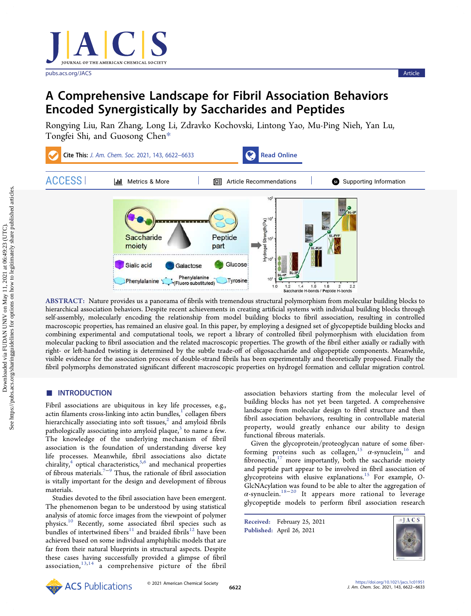[pubs.acs.org/JACS](pubs.acs.org/JACS?ref=pdf) **Article** 

# A Comprehensive Landscape for Fibril Association Behaviors Encoded Synergistically by Saccharides and Peptides

[Rongying Liu,](https://pubs.acs.org/action/doSearch?field1=Contrib&text1="Rongying+Liu"&field2=AllField&text2=&publication=&accessType=allContent&Earliest=&ref=pdf) [Ran Zhang,](https://pubs.acs.org/action/doSearch?field1=Contrib&text1="Ran+Zhang"&field2=AllField&text2=&publication=&accessType=allContent&Earliest=&ref=pdf) [Long Li,](https://pubs.acs.org/action/doSearch?field1=Contrib&text1="Long+Li"&field2=AllField&text2=&publication=&accessType=allContent&Earliest=&ref=pdf) [Zdravko Kochovski,](https://pubs.acs.org/action/doSearch?field1=Contrib&text1="Zdravko+Kochovski"&field2=AllField&text2=&publication=&accessType=allContent&Earliest=&ref=pdf) [Lintong Yao,](https://pubs.acs.org/action/doSearch?field1=Contrib&text1="Lintong+Yao"&field2=AllField&text2=&publication=&accessType=allContent&Earliest=&ref=pdf) [Mu-Ping Nieh,](https://pubs.acs.org/action/doSearch?field1=Contrib&text1="Mu-Ping+Nieh"&field2=AllField&text2=&publication=&accessType=allContent&Earliest=&ref=pdf) [Yan Lu,](https://pubs.acs.org/action/doSearch?field1=Contrib&text1="Yan+Lu"&field2=AllField&text2=&publication=&accessType=allContent&Earliest=&ref=pdf) [Tongfei Shi,](https://pubs.acs.org/action/doSearch?field1=Contrib&text1="Tongfei+Shi"&field2=AllField&text2=&publication=&accessType=allContent&Earliest=&ref=pdf) [and Guosong Chen](https://pubs.acs.org/action/doSearch?field1=Contrib&text1="Guosong+Chen"&field2=AllField&text2=&publication=&accessType=allContent&Earliest=&ref=pdf)[\\*](#page-9-0)



ABSTRACT: Nature provides us a panorama of fibrils with tremendous structural polymorphism from molecular building blocks to hierarchical association behaviors. Despite recent achievements in creating artificial systems with individual building blocks through self-assembly, molecularly encoding the relationship from model building blocks to fibril association, resulting in controlled macroscopic properties, has remained an elusive goal. In this paper, by employing a designed set of glycopeptide building blocks and combining experimental and computational tools, we report a library of controlled fibril polymorphism with elucidation from molecular packing to fibril association and the related macroscopic properties. The growth of the fibril either axially or radially with right- or left-handed twisting is determined by the subtle trade-off of oligosaccharide and oligopeptide components. Meanwhile, visible evidence for the association process of double-strand fibrils has been experimentally and theoretically proposed. Finally the fibril polymorphs demonstrated significant different macroscopic properties on hydrogel formation and cellular migration control.

# ■ INTRODUCTION

Fibril associations are ubiquitous in key life processes, e.g., actin filaments cross-linking into actin bundles, $<sup>1</sup>$  $<sup>1</sup>$  $<sup>1</sup>$  collagen fibers</sup> hierarchically associating into soft tissues, $2$  and amyloid fibrils pathologically associating into amyloid plaque, $3$  to name a few. The knowledge of the underlying mechanism of fibril association is the foundation of understanding diverse key life processes. Meanwhile, fibril associations also dictate chirality, $4$  optical characteristics, $5,6$  $5,6$  $5,6$  and mechanical properties of fibrous materials.<sup>[7](#page-10-0)−[9](#page-10-0)</sup> Thus, the rationale of fibril association is vitally important for the design and development of fibrous materials.

Studies devoted to the fibril association have been emergent. The phenomenon began to be understood by using statistical analysis of atomic force images from the viewpoint of polymer physics.[10](#page-10-0) Recently, some associated fibril species such as bundles of intertwined fibers<sup>[11](#page-10-0)</sup> and braided fibrils<sup>[12](#page-10-0)</sup> have been achieved based on some individual amphiphilic models that are far from their natural blueprints in structural aspects. Despite these cases having successfully provided a glimpse of fibril association, $13,14$  $13,14$  $13,14$  a comprehensive picture of the fibril

association behaviors starting from the molecular level of building blocks has not yet been targeted. A comprehensive landscape from molecular design to fibril structure and then fibril association behaviors, resulting in controllable material property, would greatly enhance our ability to design functional fibrous materials.

Given the glycoprotein/proteoglycan nature of some fiber-forming proteins such as collagen,<sup>[15](#page-10-0)</sup>  $\alpha$ -synuclein,<sup>[16](#page-10-0)</sup> and fibronectin, $17$  more importantly, both the saccharide moiety and peptide part appear to be involved in fibril association of glycoproteins with elusive explanations.<sup>[15](#page-10-0)</sup> For example, O-GlcNAcylation was found to be able to alter the aggregation of  $\alpha$ -synuclein.<sup>[18](#page-10-0)-[20](#page-10-0)</sup> It appears more rational to leverage glycopeptide models to perform fibril association research

Received: February 25, 2021 Published: April 26, 2021

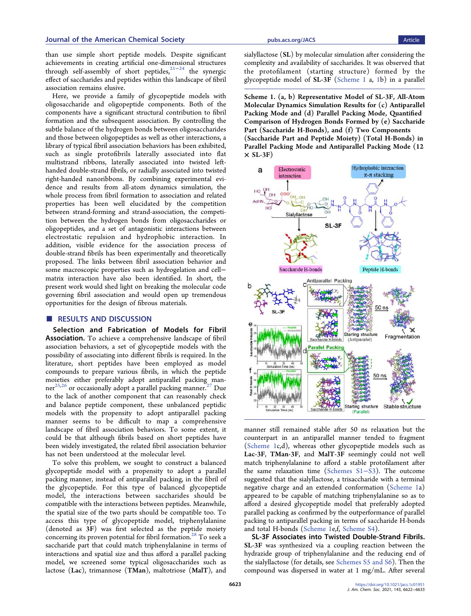than use simple short peptide models. Despite significant achievements in creating artificial one-dimensional structures through self-assembly of short peptides,<sup>[21](#page-10-0)-[24](#page-10-0)</sup> the synergic effect of saccharides and peptides within this landscape of fibril association remains elusive.

Here, we provide a family of glycopeptide models with oligosaccharide and oligopeptide components. Both of the components have a significant structural contribution to fibril formation and the subsequent association. By controlling the subtle balance of the hydrogen bonds between oligosaccharides and those between oligopeptides as well as other interactions, a library of typical fibril association behaviors has been exhibited, such as single protofibrils laterally associated into flat multistrand ribbons, laterally associated into twisted lefthanded double-strand fibrils, or radially associated into twisted right-handed nanoribbons. By combining experimental evidence and results from all-atom dynamics simulation, the whole process from fibril formation to association and related properties has been well elucidated by the competition between strand-forming and strand-association, the competition between the hydrogen bonds from oligosaccharides or oligopeptides, and a set of antagonistic interactions between electrostatic repulsion and hydrophobic interaction. In addition, visible evidence for the association process of double-strand fibrils has been experimentally and theoretically proposed. The links between fibril association behavior and some macroscopic properties such as hydrogelation and cell− matrix interaction have also been identified. In short, the present work would shed light on breaking the molecular code governing fibril association and would open up tremendous opportunities for the design of fibrous materials.

# ■ RESULTS AND DISCUSSION

Selection and Fabrication of Models for Fibril Association. To achieve a comprehensive landscape of fibril association behaviors, a set of glycopeptide models with the possibility of associating into different fibrils is required. In the literature, short peptides have been employed as model compounds to prepare various fibrils, in which the peptide moieties either preferably adopt antiparallel packing manner $^{25,26}$  $^{25,26}$  $^{25,26}$  $^{25,26}$  $^{25,26}$  or occasionally adopt a parallel packing manner.<sup>27</sup> Due to the lack of another component that can reasonably check and balance peptide component, these unbalanced peptidic models with the propensity to adopt antiparallel packing manner seems to be difficult to map a comprehensive landscape of fibril association behaviors. To some extent, it could be that although fibrils based on short peptides have been widely investigated, the related fibril association behavior has not been understood at the molecular level.

To solve this problem, we sought to construct a balanced glycopeptide model with a propensity to adopt a parallel packing manner, instead of antiparallel packing, in the fibril of the glycopeptide. For this type of balanced glycopeptide model, the interactions between saccharides should be compatible with the interactions between peptides. Meanwhile, the spatial size of the two parts should be compatible too. To access this type of glycopeptide model, triphenylalanine (denoted as 3F) was first selected as the peptide moiety concerning its proven potential for fibril formation.<sup>28</sup> To seek a saccharide part that could match triphenylalanine in terms of interactions and spatial size and thus afford a parallel packing model, we screened some typical oligosaccharides such as lactose (Lac), trimannose (TMan), maltotriose (MalT), and

sialyllactose (SL) by molecular simulation after considering the complexity and availability of saccharides. It was observed that the protofilament (starting structure) formed by the glycopeptide model of SL-3F (Scheme 1 a, [1](#page-2-0)b) in a parallel

Scheme 1. (a, b) Representative Model of SL-3F, All-Atom Molecular Dynamics Simulation Results for (c) Antiparallel Packing Mode and (d) Parallel Packing Mode, Quantified Comparison of Hydrogen Bonds Formed by (e) Saccharide Part (Saccharide H-Bonds), and (f) Two Components (Saccharide Part and Peptide Moiety) (Total H-Bonds) in Parallel Packing Mode and Antiparallel Packing Mode (12  $\times$  SL-3F)



manner still remained stable after 50 ns relaxation but the counterpart in an antiparallel manner tended to fragment (Scheme 1c,d), whereas other glycopeptide models such as Lac-3F, TMan-3F, and MalT-3F seemingly could not well match triphenylalanine to afford a stable protofilament after the same relaxation time ([Schemes S1](http://pubs.acs.org/doi/suppl/10.1021/jacs.1c01951/suppl_file/ja1c01951_si_001.pdf)−S3). The outcome suggested that the sialyllactose, a trisaccharide with a terminal negative charge and an extended conformation (Scheme 1a) appeared to be capable of matching triphenylalanine so as to afford a desired glycopeptide model that preferably adopted parallel packing as confirmed by the outperformance of parallel packing to antiparallel packing in terms of saccharide H-bonds and total H-bonds (Scheme 1e,f, [Scheme S4](http://pubs.acs.org/doi/suppl/10.1021/jacs.1c01951/suppl_file/ja1c01951_si_001.pdf)).

SL-3F Associates into Twisted Double-Strand Fibrils. SL-3F was synthesized via a coupling reaction between the hydrazide group of triphenylalanine and the reducing end of the sialyllactose (for details, see [Schemes S5 and S6\)](http://pubs.acs.org/doi/suppl/10.1021/jacs.1c01951/suppl_file/ja1c01951_si_001.pdf). Then the compound was dispersed in water at 1 mg/mL. After several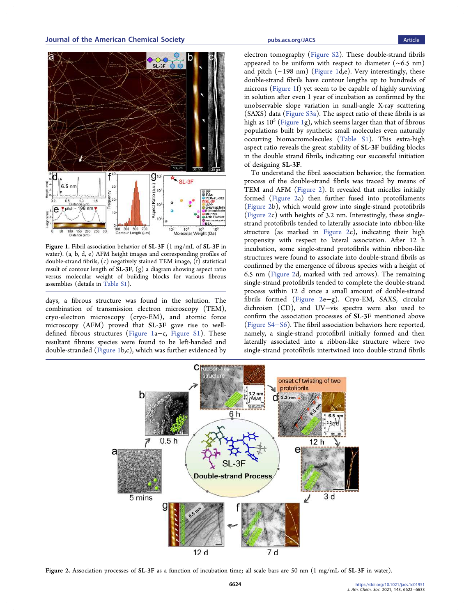<span id="page-2-0"></span>

Figure 1. Fibril association behavior of SL-3F (1 mg/mL of SL-3F in water). (a, b, d, e) AFM height images and corresponding profiles of double-strand fibrils, (c) negatively stained TEM image, (f) statistical result of contour length of SL-3F, (g) a diagram showing aspect ratio versus molecular weight of building blocks for various fibrous assemblies (details in [Table S1\)](http://pubs.acs.org/doi/suppl/10.1021/jacs.1c01951/suppl_file/ja1c01951_si_001.pdf).

days, a fibrous structure was found in the solution. The combination of transmission electron microscopy (TEM), cryo-electron microscopy (cryo-EM), and atomic force microscopy (AFM) proved that SL-3F gave rise to welldefined fibrous structures (Figure 1a−c, [Figure S1](http://pubs.acs.org/doi/suppl/10.1021/jacs.1c01951/suppl_file/ja1c01951_si_001.pdf)). These resultant fibrous species were found to be left-handed and double-stranded (Figure 1b,c), which was further evidenced by

electron tomography ([Figure S2](http://pubs.acs.org/doi/suppl/10.1021/jacs.1c01951/suppl_file/ja1c01951_si_001.pdf)). These double-strand fibrils appeared to be uniform with respect to diameter (∼6.5 nm) and pitch (∼198 nm) (Figure 1d,e). Very interestingly, these double-strand fibrils have contour lengths up to hundreds of microns (Figure 1f) yet seem to be capable of highly surviving in solution after even 1 year of incubation as confirmed by the unobservable slope variation in small-angle X-ray scattering (SAXS) data ([Figure S3a](http://pubs.acs.org/doi/suppl/10.1021/jacs.1c01951/suppl_file/ja1c01951_si_001.pdf)). The aspect ratio of these fibrils is as high as  $10^5$  (Figure 1g), which seems larger than that of fibrous populations built by synthetic small molecules even naturally occurring biomacromolecules ([Table S1\)](http://pubs.acs.org/doi/suppl/10.1021/jacs.1c01951/suppl_file/ja1c01951_si_001.pdf). This extra-high aspect ratio reveals the great stability of SL-3F building blocks in the double strand fibrils, indicating our successful initiation of designing SL-3F.

To understand the fibril association behavior, the formation process of the double-strand fibrils was traced by means of TEM and AFM (Figure 2). It revealed that micelles initially formed (Figure 2a) then further fused into protofilaments (Figure 2b), which would grow into single-strand protofibrils (Figure 2c) with heights of 3.2 nm. Interestingly, these singlestrand protofibrils tended to laterally associate into ribbon-like structure (as marked in Figure 2c), indicating their high propensity with respect to lateral association. After 12 h incubation, some single-strand protofibrils within ribbon-like structures were found to associate into double-strand fibrils as confirmed by the emergence of fibrous species with a height of 6.5 nm (Figure 2d, marked with red arrows). The remaining single-strand protofibrils tended to complete the double-strand process within 12 d once a small amount of double-strand fibrils formed (Figure 2e−g). Cryo-EM, SAXS, circular dichroism (CD), and UV−vis spectra were also used to confirm the association processes of SL-3F mentioned above ([Figure S4](http://pubs.acs.org/doi/suppl/10.1021/jacs.1c01951/suppl_file/ja1c01951_si_001.pdf)−S6). The fibril association behaviors here reported, namely, a single-strand protofibril initially formed and then laterally associated into a ribbon-like structure where two single-strand protofibrils intertwined into double-strand fibrils



Figure 2. Association processes of SL-3F as a function of incubation time; all scale bars are 50 nm (1 mg/mL of SL-3F in water).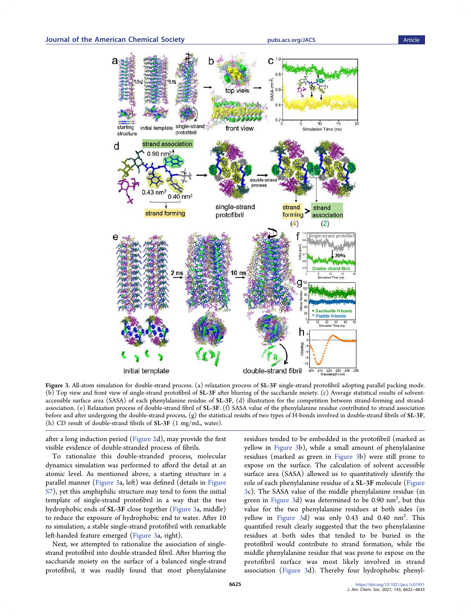<span id="page-3-0"></span>

Figure 3. All-atom simulation for double-strand process. (a) relaxation process of SL-3F single-strand protofibril adopting parallel packing mode. (b) Top view and front view of single-strand protofibril of SL-3F after blurring of the saccharide moiety. (c) Average statistical results of solventaccessible surface area (SASA) of each phenylalanine residue of SL-3F, (d) illustration for the competition between strand-forming and strandassociation. (e) Relaxation process of double-strand fibril of SL-3F. (f) SASA value of the phenylalanine residue contributed to strand association before and after undergoing the double-strand process, (g) the statistical results of two types of H-bonds involved in double-strand fibrils of SL-3F, (h) CD result of double-strand fibrils of SL-3F (1 mg/mL, water).

after a long induction period [\(Figure 2d](#page-2-0)), may provide the first visible evidence of double-stranded process of fibrils.

To rationalize this double-stranded process, molecular dynamics simulation was performed to afford the detail at an atomic level. As mentioned above, a starting structure in a parallel manner (Figure 3a, left) was defined (details in [Figure](http://pubs.acs.org/doi/suppl/10.1021/jacs.1c01951/suppl_file/ja1c01951_si_001.pdf) [S7](http://pubs.acs.org/doi/suppl/10.1021/jacs.1c01951/suppl_file/ja1c01951_si_001.pdf)), yet this amphiphilic structure may tend to form the initial template of single-strand protofibril in a way that the two hydrophobic ends of SL-3F close together (Figure 3a, middle) to reduce the exposure of hydrophobic end to water. After 10 ns simulation, a stable single-strand protofibril with remarkable left-handed feature emerged (Figure 3a, right).

Next, we attempted to rationalize the association of singlestrand protofibril into double-stranded fibril. After blurring the saccharide moiety on the surface of a balanced single-strand protofibril, it was readily found that most phenylalanine

residues tended to be embedded in the protofibril (marked as yellow in Figure 3b), while a small amount of phenylalanine residues (marked as green in Figure 3b) were still prone to expose on the surface. The calculation of solvent accessible surface area (SASA) allowed us to quantitatively identify the role of each phenylalanine residue of a SL-3F molecule (Figure 3c). The SASA value of the middle phenylalanine residue (in green in Figure 3d) was determined to be 0.90 nm<sup>2</sup>, but this value for the two phenylalanine residues at both sides (in yellow in Figure 3d) was only 0.43 and 0.40 nm<sup>2</sup>. This quantified result clearly suggested that the two phenylalanine residues at both sides that tended to be buried in the protofibril would contribute to strand formation, while the middle phenylalanine residue that was prone to expose on the protofibril surface was most likely involved in strand association (Figure 3d). Thereby four hydrophobic phenyl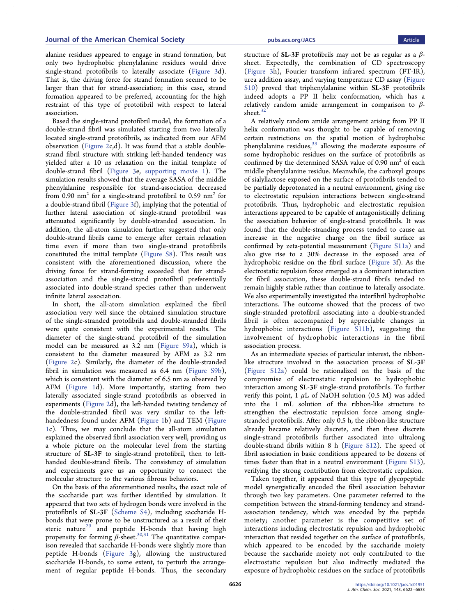alanine residues appeared to engage in strand formation, but only two hydrophobic phenylalanine residues would drive single-strand protofibrils to laterally associate ([Figure 3](#page-3-0)d). That is, the driving force for strand formation seemed to be larger than that for strand-association; in this case, strand formation appeared to be preferred, accounting for the high restraint of this type of protofibril with respect to lateral association.

Based the single-strand protofibril model, the formation of a double-strand fibril was simulated starting from two laterally located single-strand protofibrils, as indicated from our AFM observation [\(Figure 2](#page-2-0)c,d). It was found that a stable doublestrand fibril structure with striking left-handed tendency was yielded after a 10 ns relaxation on the initial template of double-strand fibril [\(Figure 3e](#page-3-0), supporting movie  $\overline{1}$ ). The simulation results showed that the average SASA of the middle phenylalanine responsible for strand-association decreased from 0.90  $nm^2$  for a single-strand protofibril to 0.59  $nm^2$  for a double-strand fibril [\(Figure 3](#page-3-0)f), implying that the potential of further lateral association of single-strand protofibril was attenuated significantly by double-stranded association. In addition, the all-atom simulation further suggested that only double-strand fibrils came to emerge after certain relaxation time even if more than two single-strand protofibrils constituted the initial template [\(Figure S8](http://pubs.acs.org/doi/suppl/10.1021/jacs.1c01951/suppl_file/ja1c01951_si_001.pdf)). This result was consistent with the aforementioned discussion, where the driving force for strand-forming exceeded that for strandassociation and the single-strand protofibril preferentially associated into double-strand species rather than underwent infinite lateral association.

In short, the all-atom simulation explained the fibril association very well since the obtained simulation structure of the single-stranded protofibrils and double-stranded fibrils were quite consistent with the experimental results. The diameter of the single-strand protofibril of the simulation model can be measured as 3.2 nm [\(Figure S9a](http://pubs.acs.org/doi/suppl/10.1021/jacs.1c01951/suppl_file/ja1c01951_si_001.pdf)), which is consistent to the diameter measured by AFM as 3.2 nm ([Figure 2c](#page-2-0)). Similarly, the diameter of the double-stranded fibril in simulation was measured as 6.4 nm ([Figure S9b](http://pubs.acs.org/doi/suppl/10.1021/jacs.1c01951/suppl_file/ja1c01951_si_001.pdf)), which is consistent with the diameter of 6.5 nm as observed by AFM [\(Figure 1](#page-2-0)d). More importantly, starting from two laterally associated single-strand protofibrils as observed in experiments ([Figure 2](#page-2-0)d), the left-handed twisting tendency of the double-stranded fibril was very similar to the lefthandedness found under AFM [\(Figure 1b](#page-2-0)) and TEM [\(Figure](#page-2-0) [1](#page-2-0)c). Thus, we may conclude that the all-atom simulation explained the observed fibril association very well, providing us a whole picture on the molecular level from the starting structure of SL-3F to single-strand protofibril, then to lefthanded double-strand fibrils. The consistency of simulation and experiments gave us an opportunity to connect the molecular structure to the various fibrous behaviors.

On the basis of the aforementioned results, the exact role of the saccharide part was further identified by simulation. It appeared that two sets of hydrogen bonds were involved in the protofibrils of SL-3F ([Scheme S4\)](http://pubs.acs.org/doi/suppl/10.1021/jacs.1c01951/suppl_file/ja1c01951_si_001.pdf), including saccharide Hbonds that were prone to be unstructured as a result of their steric nature<sup>[29](#page-10-0)</sup> and peptide H-bonds that having high propensity for forming  $\beta$ -sheet.<sup>[30](#page-10-0),[31](#page-10-0)</sup> The quantitative comparison revealed that saccharide H-bonds were slightly more than peptide H-bonds [\(Figure 3g](#page-3-0)), allowing the unstructured saccharide H-bonds, to some extent, to perturb the arrangement of regular peptide H-bonds. Thus, the secondary

structure of SL-3F protofibrils may not be as regular as a  $\beta$ sheet. Expectedly, the combination of CD spectroscopy ([Figure 3h](#page-3-0)), Fourier transform infrared spectrum (FT-IR), urea addition assay, and varying temperature CD assay [\(Figure](http://pubs.acs.org/doi/suppl/10.1021/jacs.1c01951/suppl_file/ja1c01951_si_001.pdf) [S10\)](http://pubs.acs.org/doi/suppl/10.1021/jacs.1c01951/suppl_file/ja1c01951_si_001.pdf) proved that triphenylalanine within SL-3F protofibrils indeed adopts a PP II helix conformation, which has a relatively random amide arrangement in comparison to  $\beta$ sheet. $32$ 

A relatively random amide arrangement arising from PP II helix conformation was thought to be capable of removing certain restrictions on the spatial motion of hydrophobic phenylalanine residues, $33$  allowing the moderate exposure of some hydrophobic residues on the surface of protofibrils as confirmed by the determined SASA value of 0.90 nm2 of each middle phenylalanine residue. Meanwhile, the carboxyl groups of sialyllactose exposed on the surface of protofibrils tended to be partially deprotonated in a neutral environment, giving rise to electrostatic repulsion interactions between single-strand protofibrils. Thus, hydrophobic and electrostatic repulsion interactions appeared to be capable of antagonistically defining the association behavior of single-strand protofibrils. It was found that the double-stranding process tended to cause an increase in the negative charge on the fibril surface as confirmed by zeta-potential measurement [\(Figure S11a](http://pubs.acs.org/doi/suppl/10.1021/jacs.1c01951/suppl_file/ja1c01951_si_001.pdf)) and also give rise to a 30% decrease in the exposed area of hydrophobic residue on the fibril surface [\(Figure 3](#page-3-0)f). As the electrostatic repulsion force emerged as a dominant interaction for fibril association, these double-strand fibrils tended to remain highly stable rather than continue to laterally associate. We also experimentally investigated the interfibril hydrophobic interactions. The outcome showed that the process of two single-stranded protofibril associating into a double-stranded fibril is often accompanied by appreciable changes in hydrophobic interactions ([Figure S11b](http://pubs.acs.org/doi/suppl/10.1021/jacs.1c01951/suppl_file/ja1c01951_si_001.pdf)), suggesting the involvement of hydrophobic interactions in the fibril association process.

As an intermediate species of particular interest, the ribbonlike structure involved in the association process of SL-3F ([Figure S12a](http://pubs.acs.org/doi/suppl/10.1021/jacs.1c01951/suppl_file/ja1c01951_si_001.pdf)) could be rationalized on the basis of the compromise of electrostatic repulsion to hydrophobic interaction among SL-3F single-strand protofibrils. To further verify this point, 1  $\mu$ L of NaOH solution (0.5 M) was added into the 1 mL solution of the ribbon-like structure to strengthen the electrostatic repulsion force among singlestranded protofibrils. After only 0.5 h, the ribbon-like structure already became relatively discrete, and then these discrete single-strand protofibrils further associated into ultralong double-strand fibrils within 8 h ([Figure S12\)](http://pubs.acs.org/doi/suppl/10.1021/jacs.1c01951/suppl_file/ja1c01951_si_001.pdf). The speed of fibril association in basic conditions appeared to be dozens of times faster than that in a neutral environment [\(Figure S13](http://pubs.acs.org/doi/suppl/10.1021/jacs.1c01951/suppl_file/ja1c01951_si_001.pdf)), verifying the strong contribution from electrostatic repulsion.

Taken together, it appeared that this type of glycopeptide model synergistically encoded the fibril association behavior through two key parameters. One parameter referred to the competition between the strand-forming tendency and strandassociation tendency, which was encoded by the peptide moiety; another parameter is the competitive set of interactions including electrostatic repulsion and hydrophobic interaction that resided together on the surface of protofibrils, which appeared to be encoded by the saccharide moiety because the saccharide moiety not only contributed to the electrostatic repulsion but also indirectly mediated the exposure of hydrophobic residues on the surface of protofibrils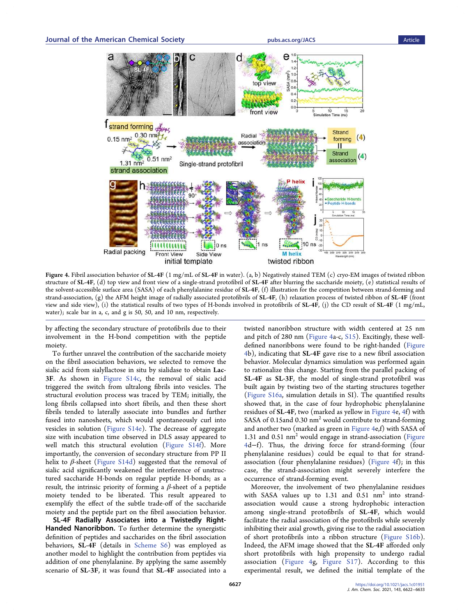<span id="page-5-0"></span>

Figure 4. Fibril association behavior of SL-4F (1 mg/mL of SL-4F in water). (a, b) Negatively stained TEM (c) cryo-EM images of twisted ribbon structure of SL-4F, (d) top view and front view of a single-strand protofibril of SL-4F after blurring the saccharide moiety, (e) statistical results of the solvent-accessible surface area (SASA) of each phenylalanine residue of SL-4F, (f) illustration for the competition between strand-forming and strand-association,  $(g)$  the AFM height image of radially associated protofibrils of SL-4F, (h) relaxation process of twisted ribbon of SL-4F (front view and side view), (i) the statistical results of two types of H-bonds involved in protofibrils of SL-4F, (j) the CD result of SL-4F (1 mg/mL, water); scale bar in a, c, and g is 50, 50, and 10 nm, respectively.

by affecting the secondary structure of protofibrils due to their involvement in the H-bond competition with the peptide moiety.

To further unravel the contribution of the saccharide moiety on the fibril association behaviors, we selected to remove the sialic acid from sialyllactose in situ by sialidase to obtain Lac-3F. As shown in [Figure S14c,](http://pubs.acs.org/doi/suppl/10.1021/jacs.1c01951/suppl_file/ja1c01951_si_001.pdf) the removal of sialic acid triggered the switch from ultralong fibrils into vesicles. The structural evolution process was traced by TEM; initially, the long fibrils collapsed into short fibrils, and then these short fibrils tended to laterally associate into bundles and further fused into nanosheets, which would spontaneously curl into vesicles in solution ([Figure S14e](http://pubs.acs.org/doi/suppl/10.1021/jacs.1c01951/suppl_file/ja1c01951_si_001.pdf)). The decrease of aggregate size with incubation time observed in DLS assay appeared to well match this structural evolution ([Figure S14f](http://pubs.acs.org/doi/suppl/10.1021/jacs.1c01951/suppl_file/ja1c01951_si_001.pdf)). More importantly, the conversion of secondary structure from PP II helix to  $\beta$ -sheet ([Figure S14d](http://pubs.acs.org/doi/suppl/10.1021/jacs.1c01951/suppl_file/ja1c01951_si_001.pdf)) suggested that the removal of sialic acid significantly weakened the interference of unstructured saccharide H-bonds on regular peptide H-bonds; as a result, the intrinsic priority of forming a  $\beta$ -sheet of a peptide moiety tended to be liberated. This result appeared to exemplify the effect of the subtle trade-off of the saccharide moiety and the peptide part on the fibril association behavior.

SL-4F Radially Associates into a Twistedly Right-Handed Nanoribbon. To further determine the synergistic definition of peptides and saccharides on the fibril association behaviors, SL-4F (details in [Scheme S6\)](http://pubs.acs.org/doi/suppl/10.1021/jacs.1c01951/suppl_file/ja1c01951_si_001.pdf) was employed as another model to highlight the contribution from peptides via addition of one phenylalanine. By applying the same assembly scenario of SL-3F, it was found that SL-4F associated into a

twisted nanoribbon structure with width centered at 25 nm and pitch of 280 nm (Figure 4a-c, [S15\)](http://pubs.acs.org/doi/suppl/10.1021/jacs.1c01951/suppl_file/ja1c01951_si_001.pdf). Excitingly, these welldefined nanoribbons were found to be right-handed (Figure 4b), indicating that SL-4F gave rise to a new fibril association behavior. Molecular dynamics simulation was performed again to rationalize this change. Starting from the parallel packing of SL-4F as SL-3F, the model of single-strand protofibril was built again by twisting two of the starting structures together ([Figure S16a,](http://pubs.acs.org/doi/suppl/10.1021/jacs.1c01951/suppl_file/ja1c01951_si_001.pdf) simulation details in SI). The quantified results showed that, in the case of four hydrophobic phenylalanine residues of SL-4F, two (marked as yellow in Figure 4e, 4f) with SASA of 0.15and 0.30 nm<sup>2</sup> would contribute to strand-forming and another two (marked as green in Figure 4e,f) with SASA of 1.31 and  $0.51$  nm<sup>2</sup> would engage in strand-association (Figure 4d−f). Thus, the driving force for strand-forming (four phenylalanine residues) could be equal to that for strandassociation (four phenylalanine residues) (Figure 4f); in this case, the strand-association might severely interfere the occurrence of strand-forming event.

Moreover, the involvement of two phenylalanine residues with SASA values up to  $1.31$  and  $0.51$  nm<sup>2</sup> into strandassociation would cause a strong hydrophobic interaction among single-strand protofibrils of SL-4F, which would facilitate the radial association of the protofibrils while severely inhibiting their axial growth, giving rise to the radial association of short protofibrils into a ribbon structure ([Figure S16b](http://pubs.acs.org/doi/suppl/10.1021/jacs.1c01951/suppl_file/ja1c01951_si_001.pdf)). Indeed, the AFM image showed that the SL-4F afforded only short protofibrils with high propensity to undergo radial association (Figure 4g, [Figure S17](http://pubs.acs.org/doi/suppl/10.1021/jacs.1c01951/suppl_file/ja1c01951_si_001.pdf)). According to this experimental result, we defined the initial template of the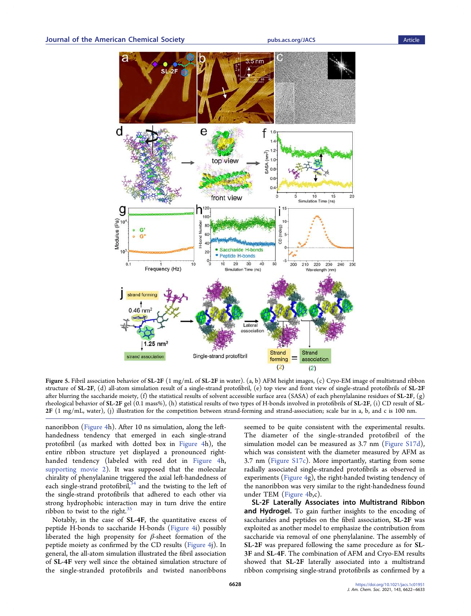<span id="page-6-0"></span>

Figure 5. Fibril association behavior of SL-2F (1 mg/mL of SL-2F in water). (a, b) AFM height images, (c) Cryo-EM image of multistrand ribbon structure of SL-2F, (d) all-atom simulation result of a single-strand protofibril, (e) top view and front view of single-strand protofibrils of SL-2F after blurring the saccharide moiety, (f) the statistical results of solvent accessible surface area (SASA) of each phenylalanine residues of SL-2F, (g) rheological behavior of SL-2F gel  $(0.1 \text{ mass} \%)$ , (h) statistical results of two types of H-bonds involved in protofibrils of SL-2F, (i) CD result of SL-2F (1 mg/mL, water), (j) illustration for the competition between strand-forming and strand-association; scale bar in a, b, and c is 100 nm.

nanoribbon ([Figure 4](#page-5-0)h). After 10 ns simulation, along the lefthandedness tendency that emerged in each single-strand protofibril (as marked with dotted box in [Figure 4](#page-5-0)h), the entire ribbon structure yet displayed a pronounced righthanded tendency (labeled with red dot in [Figure 4](#page-5-0)h, [supporting movie 2\)](http://pubs.acs.org/doi/suppl/10.1021/jacs.1c01951/suppl_file/ja1c01951_si_003.mpg). It was supposed that the molecular chirality of phenylalanine triggered the axial left-handedness of each single-strand protofibril, $34$  and the twisting to the left of the single-strand protofibrils that adhered to each other via strong hydrophobic interaction may in turn drive the entire ribbon to twist to the right. $35$ 

Notably, in the case of SL-4F, the quantitative excess of peptide H-bonds to saccharide H-bonds ([Figure 4i](#page-5-0)) possibly liberated the high propensity for  $β$ -sheet formation of the peptide moiety as confirmed by the CD results ([Figure 4j](#page-5-0)). In general, the all-atom simulation illustrated the fibril association of SL-4F very well since the obtained simulation structure of the single-stranded protofibrils and twisted nanoribbons

seemed to be quite consistent with the experimental results. The diameter of the single-stranded protofibril of the simulation model can be measured as 3.7 nm [\(Figure S17d](http://pubs.acs.org/doi/suppl/10.1021/jacs.1c01951/suppl_file/ja1c01951_si_001.pdf)), which was consistent with the diameter measured by AFM as 3.7 nm ([Figure S17c](http://pubs.acs.org/doi/suppl/10.1021/jacs.1c01951/suppl_file/ja1c01951_si_001.pdf)). More importantly, starting from some radially associated single-stranded protofibrils as observed in experiments [\(Figure 4g](#page-5-0)), the right-handed twisting tendency of the nanoribbon was very similar to the right-handedness found under TEM [\(Figure 4](#page-5-0)b,c).

SL-2F Laterally Associates into Multistrand Ribbon and Hydrogel. To gain further insights to the encoding of saccharides and peptides on the fibril association, SL-2F was exploited as another model to emphasize the contribution from saccharide via removal of one phenylalanine. The assembly of SL-2F was prepared following the same procedure as for SL-3F and SL-4F. The combination of AFM and Cryo-EM results showed that SL-2F laterally associated into a multistrand ribbon comprising single-strand protofibrils as confirmed by a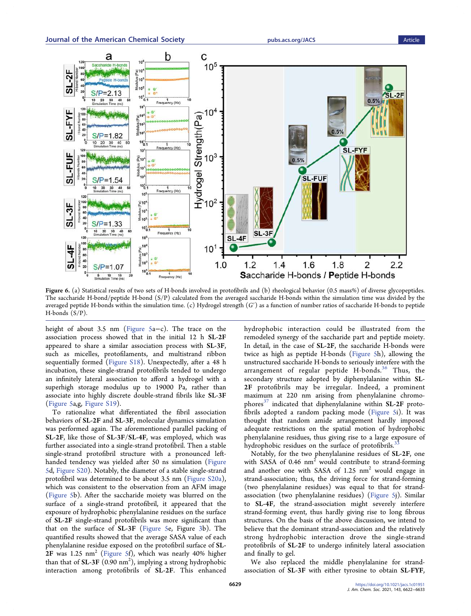<span id="page-7-0"></span>

Figure 6. (a) Statistical results of two sets of H-bonds involved in protofibrils and (b) rheological behavior (0.5 mass%) of diverse glycopeptides. The saccharide H-bond/peptide H-bond (S/P) calculated from the averaged saccharide H-bonds within the simulation time was divided by the averaged peptide H-bonds within the simulation time. (c) Hydrogel strength  $(G')$  as a function of number ratios of saccharide H-bonds to peptide H-bonds (S/P).

height of about 3.5 nm ([Figure 5](#page-6-0)a−c). The trace on the association process showed that in the initial 12 h SL-2F appeared to share a similar association process with SL-3F, such as micelles, protofilaments, and multistrand ribbon sequentially formed [\(Figure S18\)](http://pubs.acs.org/doi/suppl/10.1021/jacs.1c01951/suppl_file/ja1c01951_si_001.pdf). Unexpectedly, after a 48 h incubation, these single-strand protofibrils tended to undergo an infinitely lateral association to afford a hydrogel with a superhigh storage modulus up to 19000 Pa, rather than associate into highly discrete double-strand fibrils like SL-3F ([Figure 5a](#page-6-0),g, [Figure S19\)](http://pubs.acs.org/doi/suppl/10.1021/jacs.1c01951/suppl_file/ja1c01951_si_001.pdf).

To rationalize what differentiated the fibril association behaviors of SL-2F and SL-3F, molecular dynamics simulation was performed again. The aforementioned parallel packing of SL-2F, like those of SL-3F/SL-4F, was employed, which was further associated into a single-strand protofibril. Then a stable single-strand protofibril structure with a pronounced lefthanded tendency was yielded after 50 ns simulation [\(Figure](#page-6-0) [5](#page-6-0)d, [Figure S20](http://pubs.acs.org/doi/suppl/10.1021/jacs.1c01951/suppl_file/ja1c01951_si_001.pdf)). Notably, the diameter of a stable single-strand protofibril was determined to be about 3.5 nm [\(Figure S20a](http://pubs.acs.org/doi/suppl/10.1021/jacs.1c01951/suppl_file/ja1c01951_si_001.pdf)), which was consistent to the observation from an AFM image ([Figure 5b](#page-6-0)). After the saccharide moiety was blurred on the surface of a single-strand protofibril, it appeared that the exposure of hydrophobic phenylalanine residues on the surface of SL-2F single-strand protofibrils was more significant than that on the surface of SL-3F [\(Figure 5e](#page-6-0), Figure [3b](#page-3-0)). The quantified results showed that the average SASA value of each phenylalanine residue exposed on the protofibril surface of SL- $2F$  was 1.25 nm<sup>2</sup> [\(Figure 5f](#page-6-0)), which was nearly 40% higher than that of **SL-3F** (0.90  $\mathrm{nm}^2$ ), implying a strong hydrophobic interaction among protofibrils of SL-2F. This enhanced

hydrophobic interaction could be illustrated from the remodeled synergy of the saccharide part and peptide moiety. In detail, in the case of SL-2F, the saccharide H-bonds were twice as high as peptide H-bonds ([Figure 5](#page-6-0)h), allowing the unstructured saccharide H-bonds to seriously interfere with the arrangement of regular peptide H-bonds.<sup>[36](#page-11-0)</sup> Thus, the secondary structure adopted by diphenylalanine within SL-2F protofibrils may be irregular. Indeed, a prominent maximum at 220 nm arising from phenylalanine chromo-phores<sup>[37](#page-11-0)</sup> indicated that diphenylalanine within  $SL-2F$  protofibrils adopted a random packing mode ([Figure 5i](#page-6-0)). It was thought that random amide arrangement hardly imposed adequate restrictions on the spatial motion of hydrophobic phenylalanine residues, thus giving rise to a large exposure of hydrophobic residues on the surface of protofibrils.<sup>3</sup>

Notably, for the two phenylalanine residues of SL-2F, one with SASA of  $0.46$  nm<sup>2</sup> would contribute to strand-forming and another one with SASA of  $1.25 \text{ nm}^2$  would engage in strand-association; thus, the driving force for strand-forming (two phenylalanine residues) was equal to that for strandassociation (two phenylalanine residues) [\(Figure 5](#page-6-0)j). Similar to SL-4F, the strand-association might severely interfere strand-forming event, thus hardly giving rise to long fibrous structures. On the basis of the above discussion, we intend to believe that the dominant strand-association and the relatively strong hydrophobic interaction drove the single-strand protofibrils of SL-2F to undergo infinitely lateral association and finally to gel.

We also replaced the middle phenylalanine for strandassociation of SL-3F with either tyrosine to obtain SL-FYF,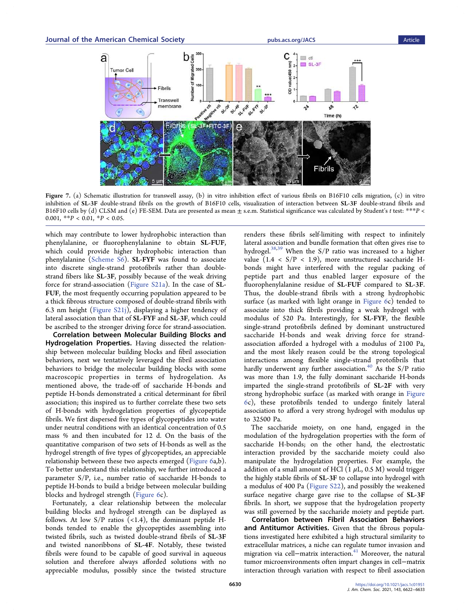<span id="page-8-0"></span>

Figure 7. (a) Schematic illustration for transwell assay, (b) in vitro inhibition effect of various fibrils on B16F10 cells migration, (c) in vitro inhibition of SL-3F double-strand fibrils on the growth of B16F10 cells, visualization of interaction between SL-3F double-strand fibrils and B16F10 cells by (d) CLSM and (e) FE-SEM. Data are presented as mean  $\pm$  s.e.m. Statistical significance was calculated by Student's t test: \*\*P < 0.001,  $*P < 0.01$ ,  $*P < 0.05$ .

which may contribute to lower hydrophobic interaction than phenylalanine, or fluorophenylalanine to obtain SL-FUF, which could provide higher hydrophobic interaction than phenylalanine [\(Scheme S6](http://pubs.acs.org/doi/suppl/10.1021/jacs.1c01951/suppl_file/ja1c01951_si_001.pdf)). SL-FYF was found to associate into discrete single-strand protofibrils rather than doublestrand fibers like SL-3F, possibly because of the weak driving force for strand-association [\(Figure S21a](http://pubs.acs.org/doi/suppl/10.1021/jacs.1c01951/suppl_file/ja1c01951_si_001.pdf)). In the case of SL-FUF, the most frequently occurring population appeared to be a thick fibrous structure composed of double-strand fibrils with 6.3 nm height [\(Figure S21j\)](http://pubs.acs.org/doi/suppl/10.1021/jacs.1c01951/suppl_file/ja1c01951_si_001.pdf), displaying a higher tendency of lateral association than that of SL-FYF and SL-3F, which could be ascribed to the stronger driving force for strand-association.

Correlation between Molecular Building Blocks and Hydrogelation Properties. Having dissected the relationship between molecular building blocks and fibril association behaviors, next we tentatively leveraged the fibril association behaviors to bridge the molecular building blocks with some macroscopic properties in terms of hydrogelation. As mentioned above, the trade-off of saccharide H-bonds and peptide H-bonds demonstrated a critical determinant for fibril association; this inspired us to further correlate these two sets of H-bonds with hydrogelation properties of glycopeptide fibrils. We first dispersed five types of glycopeptides into water under neutral conditions with an identical concentration of 0.5 mass % and then incubated for 12 d. On the basis of the quantitative comparison of two sets of H-bonds as well as the hydrogel strength of five types of glycopeptides, an appreciable relationship between these two aspects emerged [\(Figure 6](#page-7-0)a,b). To better understand this relationship, we further introduced a parameter S/P, i.e., number ratio of saccharide H-bonds to peptide H-bonds to build a bridge between molecular building blocks and hydrogel strength [\(Figure 6c](#page-7-0)).

Fortunately, a clear relationship between the molecular building blocks and hydrogel strength can be displayed as follows. At low  $S/P$  ratios (<1.4), the dominant peptide Hbonds tended to enable the glycopeptides assembling into twisted fibrils, such as twisted double-strand fibrils of SL-3F and twisted nanoribbons of SL-4F. Notably, these twisted fibrils were found to be capable of good survival in aqueous solution and therefore always afforded solutions with no appreciable modulus, possibly since the twisted structure

renders these fibrils self-limiting with respect to infinitely lateral association and bundle formation that often gives rise to hydrogel.[38,39](#page-11-0) When the S/P ratio was increased to a higher value  $(1.4 \lt S/P \lt 1.9)$ , more unstructured saccharide Hbonds might have interfered with the regular packing of peptide part and thus enabled larger exposure of the fluorophenylalanine residue of SL-FUF compared to SL-3F. Thus, the double-strand fibrils with a strong hydrophobic surface (as marked with light orange in [Figure 6](#page-7-0)c) tended to associate into thick fibrils providing a weak hydrogel with modulus of 520 Pa. Interestingly, for SL-FYF, the flexible single-strand protofibrils defined by dominant unstructured saccharide H-bonds and weak driving force for strandassociation afforded a hydrogel with a modulus of 2100 Pa, and the most likely reason could be the strong topological interactions among flexible single-strand protofibrils that hardly underwent any further association.<sup>[40](#page-11-0)</sup> As the S/P ratio was more than 1.9, the fully dominant saccharide H-bonds imparted the single-strand protofibrils of SL-2F with very strong hydrophobic surface (as marked with orange in [Figure](#page-7-0) [6](#page-7-0)c), these protofibrils tended to undergo finitely lateral association to afford a very strong hydrogel with modulus up to 32500 Pa.

The saccharide moiety, on one hand, engaged in the modulation of the hydrogelation properties with the form of saccharide H-bonds; on the other hand, the electrostatic interaction provided by the saccharide moiety could also manipulate the hydrogelation properties. For example, the addition of a small amount of HCl  $(1 \mu L, 0.5 M)$  would trigger the highly stable fibrils of SL-3F to collapse into hydrogel with a modulus of 400 Pa [\(Figure S22\)](http://pubs.acs.org/doi/suppl/10.1021/jacs.1c01951/suppl_file/ja1c01951_si_001.pdf), and possibly the weakened surface negative charge gave rise to the collapse of SL-3F fibrils. In short, we suppose that the hydrogelation property was still governed by the saccharide moiety and peptide part.

Correlation between Fibril Association Behaviors and Antitumor Activities. Given that the fibrous populations investigated here exhibited a high structural similarity to extracellular matrices, a niche can regulate tumor invasion and migration via cell−matrix interaction[.41](#page-11-0) Moreover, the natural tumor microenvironments often impart changes in cell−matrix interaction through variation with respect to fibril association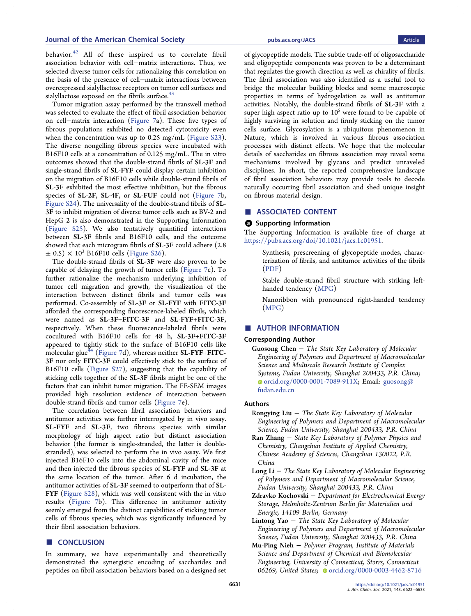<span id="page-9-0"></span>behavior.[42](#page-11-0) All of these inspired us to correlate fibril association behavior with cell−matrix interactions. Thus, we selected diverse tumor cells for rationalizing this correlation on the basis of the presence of cell−matrix interactions between overexpressed sialyllactose receptors on tumor cell surfaces and sialyllactose exposed on the fibrils surface. $43$ 

Tumor migration assay performed by the transwell method was selected to evaluate the effect of fibril association behavior on cell−matrix interaction ([Figure 7a](#page-8-0)). These five types of fibrous populations exhibited no detected cytotoxicity even when the concentration was up to 0.25 mg/mL [\(Figure S23](http://pubs.acs.org/doi/suppl/10.1021/jacs.1c01951/suppl_file/ja1c01951_si_001.pdf)). The diverse nongelling fibrous species were incubated with B16F10 cells at a concentration of 0.125 mg/mL. The in vitro outcomes showed that the double-strand fibrils of SL-3F and single-strand fibrils of SL-FYF could display certain inhibition on the migration of B16F10 cells while double-strand fibrils of SL-3F exhibited the most effective inhibition, but the fibrous species of SL-2F, SL-4F, or SL-FUF could not ([Figure 7b](#page-8-0), [Figure S24\)](http://pubs.acs.org/doi/suppl/10.1021/jacs.1c01951/suppl_file/ja1c01951_si_001.pdf). The universality of the double-strand fibrils of SL-3F to inhibit migration of diverse tumor cells such as BV-2 and HepG 2 is also demonstrated in the Supporting Information ([Figure S25](http://pubs.acs.org/doi/suppl/10.1021/jacs.1c01951/suppl_file/ja1c01951_si_001.pdf)). We also tentatively quantified interactions between SL-3F fibrils and B16F10 cells, and the outcome showed that each microgram fibrils of SL-3F could adhere (2.8  $\pm$  0.5)  $\times$  10<sup>3</sup> B16F10 cells ([Figure S26\)](http://pubs.acs.org/doi/suppl/10.1021/jacs.1c01951/suppl_file/ja1c01951_si_001.pdf).

The double-strand fibrils of SL-3F were also proven to be capable of delaying the growth of tumor cells ([Figure 7c](#page-8-0)). To further rationalize the mechanism underlying inhibition of tumor cell migration and growth, the visualization of the interaction between distinct fibrils and tumor cells was performed. Co-assembly of SL-3F or SL-FYF with FITC-3F afforded the corresponding fluorescence-labeled fibrils, which were named as SL-3F+FITC-3F and SL-FYF+FITC-3F, respectively. When these fluorescence-labeled fibrils were cocultured with B16F10 cells for 48 h, SL-3F+FITC-3F appeared to tightly stick to the surface of B16F10 cells like molecular glue<sup> $44$ </sup> ([Figure 7d](#page-8-0)), whereas neither SL-FYF+FITC-3F nor only FITC-3F could effectively stick to the surface of B16F10 cells ([Figure S27\)](http://pubs.acs.org/doi/suppl/10.1021/jacs.1c01951/suppl_file/ja1c01951_si_001.pdf), suggesting that the capability of sticking cells together of the SL-3F fibrils might be one of the factors that can inhibit tumor migration. The FE-SEM images provided high resolution evidence of interaction between double-strand fibrils and tumor cells ([Figure 7](#page-8-0)e).

The correlation between fibril association behaviors and antitumor activities was further interrogated by in vivo assay. SL-FYF and SL-3F, two fibrous species with similar morphology of high aspect ratio but distinct association behavior (the former is single-stranded, the latter is doublestranded), was selected to perform the in vivo assay. We first injected B16F10 cells into the abdominal cavity of the mice and then injected the fibrous species of SL-FYF and SL-3F at the same location of the tumor. After 6 d incubation, the antitumor activities of SL-3F seemed to outperform that of SL-FYF [\(Figure S28](http://pubs.acs.org/doi/suppl/10.1021/jacs.1c01951/suppl_file/ja1c01951_si_001.pdf)), which was well consistent with the in vitro results [\(Figure 7b](#page-8-0)). This difference in antitumor activity seemly emerged from the distinct capabilities of sticking tumor cells of fibrous species, which was significantly influenced by their fibril association behaviors.

# ■ CONCLUSION

In summary, we have experimentally and theoretically demonstrated the synergistic encoding of saccharides and peptides on fibril association behaviors based on a designed set of glycopeptide models. The subtle trade-off of oligosaccharide and oligopeptide components was proven to be a determinant that regulates the growth direction as well as chirality of fibrils. The fibril association was also identified as a useful tool to bridge the molecular building blocks and some macroscopic properties in terms of hydrogelation as well as antitumor activities. Notably, the double-strand fibrils of SL-3F with a super high aspect ratio up to  $10<sup>5</sup>$  were found to be capable of highly surviving in solution and firmly sticking on the tumor cells surface. Glycosylation is a ubiquitous phenomenon in Nature, which is involved in various fibrous association processes with distinct effects. We hope that the molecular details of saccharides on fibrous association may reveal some mechanisms involved by glycans and predict unraveled disciplines. In short, the reported comprehensive landscape of fibril association behaviors may provide tools to decode naturally occurring fibril association and shed unique insight on fibrous material design.

#### ■ ASSOCIATED CONTENT

#### **6** Supporting Information

The Supporting Information is available free of charge at [https://pubs.acs.org/doi/10.1021/jacs.1c01951.](https://pubs.acs.org/doi/10.1021/jacs.1c01951?goto=supporting-info)

Synthesis, prescreening of glycopeptide modes, characterization of fibrils, and antitumor activities of the fibrils ([PDF](http://pubs.acs.org/doi/suppl/10.1021/jacs.1c01951/suppl_file/ja1c01951_si_001.pdf))

Stable double-strand fibril structure with striking lefthanded tendency ([MPG](http://pubs.acs.org/doi/suppl/10.1021/jacs.1c01951/suppl_file/ja1c01951_si_002.mpg))

Nanoribbon with pronounced right-handed tendency ([MPG\)](http://pubs.acs.org/doi/suppl/10.1021/jacs.1c01951/suppl_file/ja1c01951_si_003.mpg)

# ■ AUTHOR INFORMATION

# Corresponding Author

Guosong Chen − The State Key Laboratory of Molecular Engineering of Polymers and Department of Macromolecular Science and Multiscale Research Institute of Complex Systems, Fudan University, Shanghai 200433, P.R. China; [orcid.org/0000-0001-7089-911X](http://orcid.org/0000-0001-7089-911X); Email: [guosong@](mailto:guosong@fudan.edu.cn) [fudan.edu.cn](mailto:guosong@fudan.edu.cn)

#### Authors

- Rongying Liu  $-$  The State Key Laboratory of Molecular Engineering of Polymers and Department of Macromolecular Science, Fudan University, Shanghai 200433, P.R. China
- Ran Zhang − State Key Laboratory of Polymer Physics and Chemistry, Changchun Institute of Applied Chemistry, Chinese Academy of Sciences, Changchun 130022, P.R. China
- Long Li − The State Key Laboratory of Molecular Engineering of Polymers and Department of Macromolecular Science, Fudan University, Shanghai 200433, P.R. China
- Zdravko Kochovski − Department for Electrochemical Energy Storage, Helmholtz-Zentrum Berlin für Materialien und Energie, 14109 Berlin, Germany
- Lintong Yao − The State Key Laboratory of Molecular Engineering of Polymers and Department of Macromolecular Science, Fudan University, Shanghai 200433, P.R. China

Mu-Ping Nieh − Polymer Program, Institute of Materials Science and Department of Chemical and Biomolecular Engineering, University of Connecticut, Storrs, Connecticut 06269, United States; [orcid.org/0000-0003-4462-8716](http://orcid.org/0000-0003-4462-8716)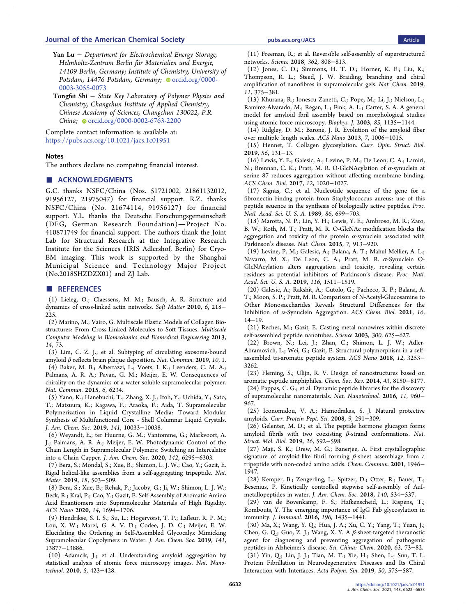- <span id="page-10-0"></span>Yan Lu − Department for Electrochemical Energy Storage, Helmholtz-Zentrum Berlin für Materialien und Energie, 14109 Berlin, Germany; Institute of Chemistry, University of Potsdam, 14476 Potsdam, Germany; O[orcid.org/0000-](http://orcid.org/0000-0003-3055-0073) [0003-3055-0073](http://orcid.org/0000-0003-3055-0073)
- Tongfei Shi − State Key Laboratory of Polymer Physics and Chemistry, Changchun Institute of Applied Chemistry, Chinese Academy of Sciences, Changchun 130022, P.R. China; [orcid.org/0000-0002-6763-2200](http://orcid.org/0000-0002-6763-2200)

Complete contact information is available at: [https://pubs.acs.org/10.1021/jacs.1c01951](https://pubs.acs.org/doi/10.1021/jacs.1c01951?ref=pdf)

### **Notes**

The authors declare no competing financial interest.

### ■ ACKNOWLEDGMENTS

G.C. thanks NSFC/China (Nos. 51721002, 21861132012, 91956127, 21975047) for financial support. R.Z. thanks NSFC/China (No. 21674114, 91956127) for financial support. Y.L. thanks the Deutsche Forschungsgemeinschaft (DFG, German Research Foundation)-Project No. 410871749 for financial support. The authors thank the Joint Lab for Structural Research at the Integrative Research Institute for the Sciences (IRIS Adlershof, Berlin) for Cryo-EM imaging. This work is supported by the Shanghai Municipal Science and Technology Major Project (No.2018SHZDZX01) and ZJ Lab.

#### ■ REFERENCES

(1) Lieleg, O.; Claessens, M. M.; Bausch, A. R[. Structure and](https://doi.org/10.1039/B912163N) [dynamics of cross-linked actin networks.](https://doi.org/10.1039/B912163N) Soft Matter 2010, 6, 218− 225.

(2) Marino, M.; Vairo, G. [Multiscale Elastic Models of Collagen Bio](https://doi.org/10.1007/8415_2012_154)[structures: From Cross-Linked Molecules to Soft Tissues.](https://doi.org/10.1007/8415_2012_154) Multiscale Computer Modeling in Biomechanics and Biomedical Engineering 2013, 14, 73.

(3) Lim, C. Z. J.; et al[. Subtyping of circulating exosome-bound](https://doi.org/10.1038/s41467-019-09030-2) amyloid  $\beta$  [reflects brain plaque deposition.](https://doi.org/10.1038/s41467-019-09030-2) Nat. Commun. 2019, 10, 1. (4) Baker, M. B.; Albertazzi, L.; Voets, I. K.; Leenders, C. M. A.; Palmans, A. R. A.; Pavan, G. M.; Meijer, E. W. [Consequences of](https://doi.org/10.1038/ncomms7234) [chirality on the dynamics of a water-soluble supramolecular polymer.](https://doi.org/10.1038/ncomms7234) Nat. Commun. 2015, 6, 6234.

(5) Yano, K.; Hanebuchi, T.; Zhang, X. J.; Itoh, Y.; Uchida, Y.; Sato, T.; Matsuura, K.; Kagawa, F.; Araoka, F.; Aida, T[. Supramolecular](https://doi.org/10.1021/jacs.9b03961) [Polymerization in Liquid Crystalline Media: Toward Modular](https://doi.org/10.1021/jacs.9b03961) [Synthesis of Multifunctional Core - Shell Columnar Liquid Crystals.](https://doi.org/10.1021/jacs.9b03961) J. Am. Chem. Soc. 2019, 141, 10033−10038.

(6) Weyandt, E.; ter Huurne, G. M.; Vantomme, G.; Markvoort, A. J.; Palmans, A. R. A.; Meijer, E. W[. Photodynamic Control of the](https://doi.org/10.1021/jacs.0c00858) [Chain Length in Supramolecular Polymers: Switching an Intercalator](https://doi.org/10.1021/jacs.0c00858) [into a Chain Capper.](https://doi.org/10.1021/jacs.0c00858) J. Am. Chem. Soc. 2020, 142, 6295−6303.

(7) Bera, S.; Mondal, S.; Xue, B.; Shimon, L. J. W.; Cao, Y.; Gazit, E. [Rigid helical-like assemblies from a self-aggregating tripeptide.](https://doi.org/10.1038/s41563-019-0343-2) Nat. Mater. 2019, 18, 503−509.

(8) Bera, S.; Xue, B.; Rehak, P.; Jacoby, G.; Ji, W.; Shimon, L. J. W.; Beck, R.; Kral, P.; Cao, Y.; Gazit, E. [Self-Assembly of Aromatic Amino](https://doi.org/10.1021/acsnano.9b07307) [Acid Enantiomers into Supramolecular Materials of High Rigidity.](https://doi.org/10.1021/acsnano.9b07307) ACS Nano 2020, 14, 1694−1706.

(9) Hendrikse, S. I. S.; Su, L.; Hogervorst, T. P.; Lafleur, R. P. M.; Lou, X. W.; Marel, G. A. V. D.; Codee, J. D. C.; Meijer, E. W. [Elucidating the Ordering in Self-Assembled Glycocalyx Mimicking](https://doi.org/10.1021/jacs.9b06607) [Supramolecular Copolymers in Water.](https://doi.org/10.1021/jacs.9b06607) J. Am. Chem. Soc. 2019, 141, 13877−13886.

(10) Adamcik, J.; et al. [Understanding amyloid aggregation by](https://doi.org/10.1038/nnano.2010.59) [statistical analysis of atomic force microscopy images.](https://doi.org/10.1038/nnano.2010.59) Nat. Nanotechnol. 2010, 5, 423−428.

(11) Freeman, R.; et al[. Reversible self-assembly of superstructured](https://doi.org/10.1126/science.aat6141) [networks.](https://doi.org/10.1126/science.aat6141) Science 2018, 362, 808−813.

(12) Jones, C. D.; Simmons, H. T. D.; Horner, K. E.; Liu, K.; Thompson, R. L.; Steed, J. W. [Braiding, branching and chiral](https://doi.org/10.1038/s41557-019-0222-0) [amplification of nanofibres in supramolecular gels.](https://doi.org/10.1038/s41557-019-0222-0) Nat. Chem. 2019, 11, 375−381.

(13) Khurana, R.; Ionescu-Zanetti, C.; Pope, M.; Li, J.; Nielson, L.; Ramirez-Alvarado, M.; Regan, L.; Fink, A. L.; Carter, S. A. [A general](https://doi.org/10.1016/S0006-3495(03)74550-0) [model for amyloid fbril assembly based on morphological studies](https://doi.org/10.1016/S0006-3495(03)74550-0) [using atomic force microscopy.](https://doi.org/10.1016/S0006-3495(03)74550-0) Biophys. J. 2003, 85, 1135−1144.

(14) Ridgley, D. M.; Barone, J. R[. Evolution of the amyloid fiber](https://doi.org/10.1021/nn303489a) [over multiple length scales.](https://doi.org/10.1021/nn303489a) ACS Nano 2013, 7, 1006−1015.

(15) Hennet, T. [Collagen glycosylation.](https://doi.org/10.1016/j.sbi.2019.01.015) Curr. Opin. Struct. Biol. 2019, 56, 131−13.

(16) Lewis, Y. E.; Galesic, A.; Levine, P. M.; De Leon, C. A.; Lamiri, N.; Brennan, C. K.; Pratt, M. R. [O-GlcNAcylation of](https://doi.org/10.1021/acschembio.7b00113) α-synuclein at [serine 87 reduces aggregation without affecting membrane binding.](https://doi.org/10.1021/acschembio.7b00113) ACS Chem. Biol. 2017, 12, 1020−1027.

(17) Signas, C.; et al[. Nucleotide sequence of the gene for a](https://doi.org/10.1073/pnas.86.2.699) [fibronectin-bindng protein from Staphylococcus aureus: use of this](https://doi.org/10.1073/pnas.86.2.699) [peptide seuence in the synthesis of biologically active peptides.](https://doi.org/10.1073/pnas.86.2.699) Proc. Natl. Acad. Sci. U. S. A. 1989, 86, 699−703.

(18) Marotta, N. P.; Lin, Y. H.; Lewis, Y. E.; Ambroso, M. R.; Zaro, B. W.; Roth, M. T.; Pratt, M. R[. O-GlcNAc modification blocks the](https://doi.org/10.1038/nchem.2361) [aggregation and toxicity of the protein](https://doi.org/10.1038/nchem.2361)  $\alpha$ -synuclein associated with [Parkinson](https://doi.org/10.1038/nchem.2361)'s disease. Nat. Chem. 2015, 7, 913−920.

(19) Levine, P. M.; Galesic, A.; Balana, A. T.; Mahul-Mellier, A. L.; Navarro, M. X.; De Leon, C. A.; Pratt, M. R. α[-Synuclein O-](https://doi.org/10.1073/pnas.1808845116)[GlcNAcylation alters aggregation and toxicity, revealing certain](https://doi.org/10.1073/pnas.1808845116) [residues as potential inhibitors of Parkinson](https://doi.org/10.1073/pnas.1808845116)'s disease. Proc. Natl. Acad. Sci. U. S. A. 2019, 116, 1511−1519.

(20) Galesic, A.; Rakshit, A.; Cutolo, G.; Pacheco, R. P.; Balana, A. T.; Moon, S. P.; Pratt, M. R[. Comparison of N-Acetyl-Glucosamine to](https://doi.org/10.1021/acschembio.0c00716) [Other Monosaccharides Reveals Structural Differences for the](https://doi.org/10.1021/acschembio.0c00716) Inhibition of α[-Synuclein Aggregation.](https://doi.org/10.1021/acschembio.0c00716) ACS Chem. Biol. 2021, 16, 14−19.

(21) Reches, M.; Gazit, E[. Casting metal nanowires within discrete](https://doi.org/10.1126/science.1082387) [self-assembled peptide nanotubes.](https://doi.org/10.1126/science.1082387) Science 2003, 300, 625−627.

(22) Brown, N.; Lei, J.; Zhan, C.; Shimon, L. J. W.; Adler-Abramovich, L.; Wei, G.; Gazit, E. [Structural polymorphism in a self](https://doi.org/10.1021/acsnano.7b07723)[assembled tri-aromatic peptide system.](https://doi.org/10.1021/acsnano.7b07723) ACS Nano 2018, 12, 3253− 3262.

(23) Fleming, S.; Ulijn, R. V. [Design of nanostructures based on](https://doi.org/10.1039/C4CS00247D) [aromatic peptide amphiphiles.](https://doi.org/10.1039/C4CS00247D) Chem. Soc. Rev. 2014, 43, 8150−8177. (24) Pappas, C. G.; et al[. Dynamic peptide libraries for the discovery](https://doi.org/10.1038/nnano.2016.169)

[of supramolecular nanomaterials.](https://doi.org/10.1038/nnano.2016.169) Nat. Nanotechnol. 2016, 11, 960− 967.

(25) Iconomidou, V. A.; Hamodrakas, S. J. [Natural protective](https://doi.org/10.2174/138920308784534041) [amyloids.](https://doi.org/10.2174/138920308784534041) Curr. Protein Pept. Sci. 2008, 9, 291−309.

(26) Gelenter, M. D.; et al. [The peptide hormone glucagon forms](https://doi.org/10.1038/s41594-019-0238-6) [amyloid fibrils with two coexisting](https://doi.org/10.1038/s41594-019-0238-6)  $\beta$ -strand conformations. Nat. Struct. Mol. Biol. 2019, 26, 592−598.

(27) Maji, S. K.; Drew, M. G.; Banerjee, A. [First crystallographic](https://doi.org/10.1039/b105418j) [signature of amyloid-like fibril forming](https://doi.org/10.1039/b105418j)  $\beta$ -sheet assemblage from a [tripeptide with non-coded amino acids.](https://doi.org/10.1039/b105418j) Chem. Commun. 2001, 1946− 1947.

(28) Kemper, B.; Zengerling, L.; Spitzer, D.; Otter, R.; Bauer, T.; Besenius, P. [Kinetically controlled stepwise self-assembly of AuI](https://doi.org/10.1021/jacs.7b08189)[metallopeptides in water.](https://doi.org/10.1021/jacs.7b08189) J. Am. Chem. Soc. 2018, 140, 534−537.

(29) van de Bovenkamp, F. S.; Hafkenscheid, L.; Rispens, T.; Rombouts, Y. [The emerging importance of IgG Fab glycosylation in](https://doi.org/10.4049/jimmunol.1502136) [immunity.](https://doi.org/10.4049/jimmunol.1502136) J. Immunol. 2016, 196, 1435−1441.

(30) Ma, X.; Wang, Y. Q.; Hua, J. A.; Xu, C. Y.; Yang, T.; Yuan, J.; Chen, G. Q.; Guo, Z. J.; Wang, X. Y. A  $\beta$ [-sheet-targeted theranostic](https://doi.org/10.1007/s11426-019-9594-y) [agent for diagnosing and preventing aggregation of pathogenic](https://doi.org/10.1007/s11426-019-9594-y) [peptides in Alzheimer](https://doi.org/10.1007/s11426-019-9594-y)'s disease. Sci. China: Chem. 2020, 63, 73−82. (31) Yin, Q.; Liu, J. J.; Tian, M. T.; Xie, H.; Shen, L.; Sun, T. L. [Protein Fibrillation in Neurodegenerative Diseases and Its Chiral](https://doi.org/10.11777/j.issn1000-3304.2019.18276) [Interaction with Interfaces.](https://doi.org/10.11777/j.issn1000-3304.2019.18276) Acta Polym. Sin. 2019, 50, 575−587.